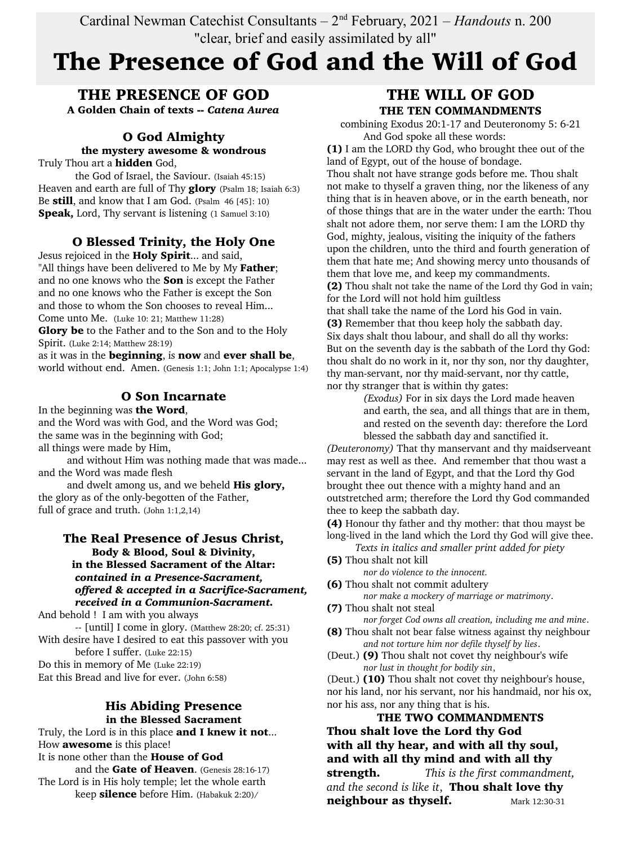Cardinal Newman Catechist Consultants – 2nd February, 2021 – *Handouts* n. 200 "clear, brief and easily assimilated by all"

# The Presence of God and the Will of God

THE PRESENCE OF GOD A Golden Chain of texts -- *Catena Aurea*

#### O God Almighty the mystery awesome & wondrous

Truly Thou art a hidden God,

the God of Israel, the Saviour. (Isaiah 45:15) Heaven and earth are full of Thy **glory** (Psalm 18; Isaiah 6:3) Be still, and know that I am God. (Psalm 46 [45]: 10) **Speak,** Lord, Thy servant is listening (1 Samuel 3:10)

## O Blessed Trinity, the Holy One

Jesus rejoiced in the **Holy Spirit**... and said, "All things have been delivered to Me by My Father; and no one knows who the Son is except the Father and no one knows who the Father is except the Son and those to whom the Son chooses to reveal Him... Come unto Me. (Luke 10: 21; Matthew 11:28)

Glory be to the Father and to the Son and to the Holy Spirit. (Luke 2:14; Matthew 28:19)

as it was in the beginning, is now and ever shall be, world without end. Amen. (Genesis 1:1; John 1:1; Apocalypse 1:4)

## O Son Incarnate

In the beginning was the Word,

and the Word was with God, and the Word was God; the same was in the beginning with God; all things were made by Him,

and without Him was nothing made that was made...

and the Word was made flesh and dwelt among us, and we beheld **His glory,** 

the glory as of the only-begotten of the Father, full of grace and truth. (John 1:1,2,14)

#### The Real Presence of Jesus Christ, Body & Blood, Soul & Divinity, in the Blessed Sacrament of the Altar: *contained in a Presence-Sacrament, offered & accepted in a Sacrifice-Sacrament, received in a Communion-Sacrament.*

And behold ! I am with you always -- [until] I come in glory. (Matthew 28:20; cf. 25:31) With desire have I desired to eat this passover with you before I suffer. (Luke 22:15) Do this in memory of Me (Luke 22:19)

Eat this Bread and live for ever. (John 6:58)

#### His Abiding Presence in the Blessed Sacrament

Truly, the Lord is in this place and I knew it not... How **awesome** is this place!

It is none other than the House of God

and the Gate of Heaven. (Genesis 28:16-17) The Lord is in His holy temple; let the whole earth keep silence before Him. (Habakuk 2:20)/

## THE WILL OF GOD THE TEN COMMANDMENTS

combining Exodus 20:1-17 and Deuteronomy 5: 6-21 And God spoke all these words:

(1) I am the LORD thy God, who brought thee out of the land of Egypt, out of the house of bondage.

Thou shalt not have strange gods before me. Thou shalt not make to thyself a graven thing, nor the likeness of any thing that is in heaven above, or in the earth beneath, nor of those things that are in the water under the earth: Thou shalt not adore them, nor serve them: I am the LORD thy God, mighty, jealous, visiting the iniquity of the fathers upon the children, unto the third and fourth generation of them that hate me; And showing mercy unto thousands of them that love me, and keep my commandments.

(2) Thou shalt not take the name of the Lord thy God in vain; for the Lord will not hold him guiltless

that shall take the name of the Lord his God in vain. (3) Remember that thou keep holy the sabbath day. Six days shalt thou labour, and shall do all thy works: But on the seventh day is the sabbath of the Lord thy God: thou shalt do no work in it, nor thy son, nor thy daughter, thy man-servant, nor thy maid-servant, nor thy cattle, nor thy stranger that is within thy gates:

*(Exodus)* For in six days the Lord made heaven and earth, the sea, and all things that are in them, and rested on the seventh day: therefore the Lord blessed the sabbath day and sanctified it.

*(Deuteronomy)* That thy manservant and thy maidserveant may rest as well as thee. And remember that thou wast a servant in the land of Egypt, and that the Lord thy God brought thee out thence with a mighty hand and an outstretched arm; therefore the Lord thy God commanded thee to keep the sabbath day.

(4) Honour thy father and thy mother: that thou mayst be

long-lived in the land which the Lord thy God will give thee. *Texts in italics and smaller print added for piety*

(5) Thou shalt not kill

*nor do violence to the innocent.* (6) Thou shalt not commit adultery

*nor make a mockery of marriage or matrimony*.

(7) Thou shalt not steal

*nor forget Cod owns all creation, including me and mine*. (8) Thou shalt not bear false witness against thy neighbour

*and not torture him nor defile thyself by lies*. (Deut.) (9) Thou shalt not covet thy neighbour's wife

*nor lust in thought for bodily sin*,

(Deut.) (10) Thou shalt not covet thy neighbour's house, nor his land, nor his servant, nor his handmaid, nor his ox, nor his ass, nor any thing that is his.

### THE TWO COMMANDMENTS Thou shalt love the Lord thy God with all thy hear, and with all thy soul, and with all thy mind and with all thy strength. *This is the first commandment, and the second is like it*, Thou shalt love thy neighbour as thyself. Mark 12:30-31